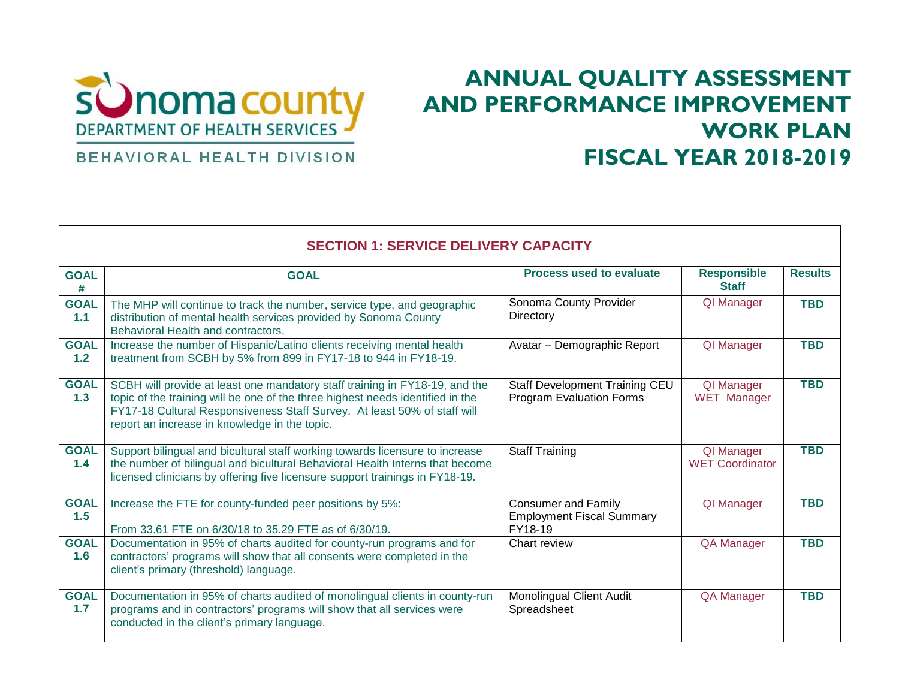

# **ANNUAL QUALITY ASSESSMENT AND PERFORMANCE IMPROVEMENT WORK PLAN FISCAL YEAR 2018-2019**

#### distribution of mental health services provided by Sonoma County topic of the training will be one of the three highest needs identified in the licensed clinicians by offering five licensure support trainings in FY18-19. Employment Fiscal Summary conducted in the client's primary language. **SECTION 1: SERVICE DELIVERY CAPACITY GOAL # GOAL Process used to evaluate Responsible Staff Results GOAL 1.1**  The MHP will continue to track the number, service type, and geographic Behavioral Health and contractors. Sonoma County Provider **Directory** QI Manager **TBD GOAL 1.2**  Increase the number of Hispanic/Latino clients receiving mental health treatment from SCBH by 5% from 899 in FY17-18 to 944 in FY18-19. Avatar – Demographic Report QI Manager **TBD GOAL 1.3** SCBH will provide at least one mandatory staff training in FY18-19, and the FY17-18 Cultural Responsiveness Staff Survey. At least 50% of staff will report an increase in knowledge in the topic. Staff Development Training CEU Program Evaluation Forms QI Manager WET Manager **TBD GOAL 1.4** Support bilingual and bicultural staff working towards licensure to increase the number of bilingual and bicultural Behavioral Health Interns that become Staff Training QI Manager WET Coordinator **TBD GOAL 1.5** Increase the FTE for county-funded peer positions by 5%: From 33.61 FTE on 6/30/18 to 35.29 FTE as of 6/30/19. Consumer and Family FY18-19 QI Manager **TBD GOAL 1.6** Documentation in 95% of charts audited for county-run programs and for contractors' programs will show that all consents were completed in the client's primary (threshold) language. Chart review QA Manager **TBD GOAL 1.7** Documentation in 95% of charts audited of monolingual clients in county-run programs and in contractors' programs will show that all services were Monolingual Client Audit **Spreadsheet** QA Manager **TBD**

BEHAVIORAL HEALTH DIVISION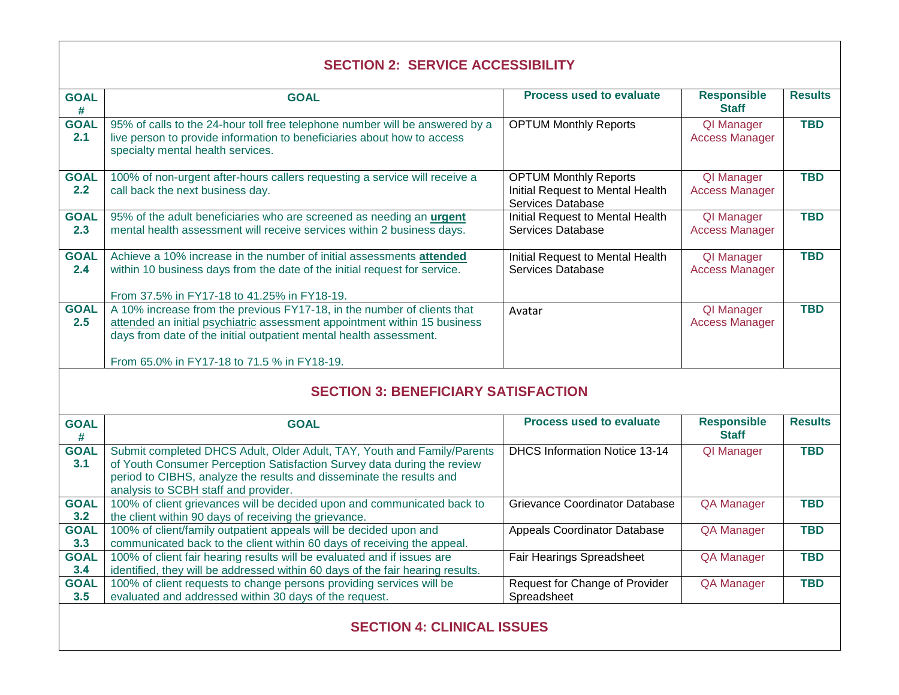## **SECTION 2: SERVICE ACCESSIBILITY**

| <b>GOAL</b><br>#   | <b>GOAL</b>                                                                                                                                                                                                                                                               | <b>Process used to evaluate</b>                                                       | <b>Responsible</b><br><b>Staff</b>  | <b>Results</b> |  |  |
|--------------------|---------------------------------------------------------------------------------------------------------------------------------------------------------------------------------------------------------------------------------------------------------------------------|---------------------------------------------------------------------------------------|-------------------------------------|----------------|--|--|
| <b>GOAL</b><br>2.1 | 95% of calls to the 24-hour toll free telephone number will be answered by a<br>live person to provide information to beneficiaries about how to access<br>specialty mental health services.                                                                              | <b>OPTUM Monthly Reports</b>                                                          | QI Manager<br><b>Access Manager</b> | <b>TBD</b>     |  |  |
| <b>GOAL</b><br>2.2 | 100% of non-urgent after-hours callers requesting a service will receive a<br>call back the next business day.                                                                                                                                                            | <b>OPTUM Monthly Reports</b><br>Initial Request to Mental Health<br>Services Database | QI Manager<br><b>Access Manager</b> | TBD            |  |  |
| <b>GOAL</b><br>2.3 | 95% of the adult beneficiaries who are screened as needing an urgent<br>mental health assessment will receive services within 2 business days.                                                                                                                            | Initial Request to Mental Health<br>Services Database                                 | QI Manager<br><b>Access Manager</b> | <b>TBD</b>     |  |  |
| <b>GOAL</b><br>2.4 | Achieve a 10% increase in the number of initial assessments attended<br>within 10 business days from the date of the initial request for service.<br>From 37.5% in FY17-18 to 41.25% in FY18-19.                                                                          | Initial Request to Mental Health<br>Services Database                                 | QI Manager<br><b>Access Manager</b> | <b>TBD</b>     |  |  |
| <b>GOAL</b><br>2.5 | A 10% increase from the previous FY17-18, in the number of clients that<br>attended an initial psychiatric assessment appointment within 15 business<br>days from date of the initial outpatient mental health assessment.<br>From 65.0% in FY17-18 to 71.5 % in FY18-19. | Avatar                                                                                | QI Manager<br><b>Access Manager</b> | <b>TBD</b>     |  |  |

## **SECTION 3: BENEFICIARY SATISFACTION**

| <b>GOAL</b><br>#             | <b>GOAL</b>                                                                                                                                                                                                                                                        | <b>Process used to evaluate</b>               | <b>Responsible</b><br><b>Staff</b> | <b>Results</b> |  |
|------------------------------|--------------------------------------------------------------------------------------------------------------------------------------------------------------------------------------------------------------------------------------------------------------------|-----------------------------------------------|------------------------------------|----------------|--|
| <b>GOAL</b><br>3.1           | Submit completed DHCS Adult, Older Adult, TAY, Youth and Family/Parents<br>of Youth Consumer Perception Satisfaction Survey data during the review<br>period to CIBHS, analyze the results and disseminate the results and<br>analysis to SCBH staff and provider. | <b>DHCS Information Notice 13-14</b>          | <b>QI</b> Manager                  | TBD            |  |
| <b>GOAL</b><br>3.2           | 100% of client grievances will be decided upon and communicated back to<br>the client within 90 days of receiving the grievance.                                                                                                                                   | Grievance Coordinator Database                | <b>QA Manager</b>                  | TBD            |  |
| <b>GOAL</b><br>3.3           | 100% of client/family outpatient appeals will be decided upon and<br>communicated back to the client within 60 days of receiving the appeal.                                                                                                                       | <b>Appeals Coordinator Database</b>           | <b>QA Manager</b>                  | TBD            |  |
| <b>GOAL</b><br>3.4           | 100% of client fair hearing results will be evaluated and if issues are<br>identified, they will be addressed within 60 days of the fair hearing results.                                                                                                          | <b>Fair Hearings Spreadsheet</b>              | <b>QA Manager</b>                  | TBD            |  |
| <b>GOAL</b><br>$3.5^{\circ}$ | 100% of client requests to change persons providing services will be<br>evaluated and addressed within 30 days of the request.                                                                                                                                     | Request for Change of Provider<br>Spreadsheet | <b>QA Manager</b>                  | TBD            |  |
|                              |                                                                                                                                                                                                                                                                    |                                               |                                    |                |  |

## **SECTION 4: CLINICAL ISSUES**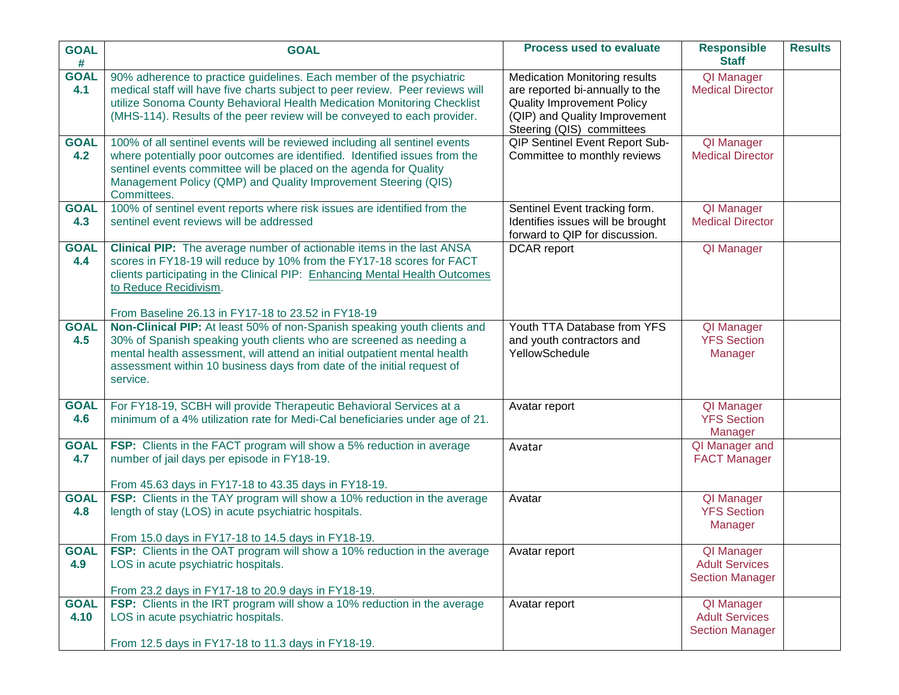| <b>GOAL</b><br>#    | <b>GOAL</b>                                                                                                                                                                                                                                                                                                        | <b>Process used to evaluate</b>                                                                                                                                            | <b>Responsible</b><br><b>Staff</b>                            | <b>Results</b> |
|---------------------|--------------------------------------------------------------------------------------------------------------------------------------------------------------------------------------------------------------------------------------------------------------------------------------------------------------------|----------------------------------------------------------------------------------------------------------------------------------------------------------------------------|---------------------------------------------------------------|----------------|
| <b>GOAL</b><br>4.1  | 90% adherence to practice guidelines. Each member of the psychiatric<br>medical staff will have five charts subject to peer review. Peer reviews will<br>utilize Sonoma County Behavioral Health Medication Monitoring Checklist<br>(MHS-114). Results of the peer review will be conveyed to each provider.       | <b>Medication Monitoring results</b><br>are reported bi-annually to the<br><b>Quality Improvement Policy</b><br>(QIP) and Quality Improvement<br>Steering (QIS) committees | <b>QI</b> Manager<br><b>Medical Director</b>                  |                |
| <b>GOAL</b><br>4.2  | 100% of all sentinel events will be reviewed including all sentinel events<br>where potentially poor outcomes are identified. Identified issues from the<br>sentinel events committee will be placed on the agenda for Quality<br>Management Policy (QMP) and Quality Improvement Steering (QIS)<br>Committees.    | QIP Sentinel Event Report Sub-<br>Committee to monthly reviews                                                                                                             | QI Manager<br><b>Medical Director</b>                         |                |
| <b>GOAL</b><br>4.3  | 100% of sentinel event reports where risk issues are identified from the<br>sentinel event reviews will be addressed                                                                                                                                                                                               | Sentinel Event tracking form.<br>Identifies issues will be brought<br>forward to QIP for discussion.                                                                       | QI Manager<br><b>Medical Director</b>                         |                |
| <b>GOAL</b><br>4.4  | Clinical PIP: The average number of actionable items in the last ANSA<br>scores in FY18-19 will reduce by 10% from the FY17-18 scores for FACT<br>clients participating in the Clinical PIP: Enhancing Mental Health Outcomes<br>to Reduce Recidivism.<br>From Baseline 26.13 in FY17-18 to 23.52 in FY18-19       | DCAR report                                                                                                                                                                | QI Manager                                                    |                |
| <b>GOAL</b><br>4.5  | Non-Clinical PIP: At least 50% of non-Spanish speaking youth clients and<br>30% of Spanish speaking youth clients who are screened as needing a<br>mental health assessment, will attend an initial outpatient mental health<br>assessment within 10 business days from date of the initial request of<br>service. | Youth TTA Database from YFS<br>and youth contractors and<br>YellowSchedule                                                                                                 | QI Manager<br><b>YFS Section</b><br>Manager                   |                |
| <b>GOAL</b><br>4.6  | For FY18-19, SCBH will provide Therapeutic Behavioral Services at a<br>minimum of a 4% utilization rate for Medi-Cal beneficiaries under age of 21.                                                                                                                                                                | Avatar report                                                                                                                                                              | QI Manager<br><b>YFS Section</b><br>Manager                   |                |
| <b>GOAL</b><br>4.7  | FSP: Clients in the FACT program will show a 5% reduction in average<br>number of jail days per episode in FY18-19.<br>From 45.63 days in FY17-18 to 43.35 days in FY18-19.                                                                                                                                        | Avatar                                                                                                                                                                     | QI Manager and<br><b>FACT Manager</b>                         |                |
| <b>GOAL</b><br>4.8  | FSP: Clients in the TAY program will show a 10% reduction in the average<br>length of stay (LOS) in acute psychiatric hospitals.<br>From 15.0 days in FY17-18 to 14.5 days in FY18-19.                                                                                                                             | Avatar                                                                                                                                                                     | QI Manager<br><b>YFS Section</b><br>Manager                   |                |
| <b>GOAL</b><br>4.9  | <b>FSP:</b> Clients in the OAT program will show a 10% reduction in the average<br>LOS in acute psychiatric hospitals.<br>From 23.2 days in FY17-18 to 20.9 days in FY18-19.                                                                                                                                       | Avatar report                                                                                                                                                              | QI Manager<br><b>Adult Services</b><br><b>Section Manager</b> |                |
| <b>GOAL</b><br>4.10 | FSP: Clients in the IRT program will show a 10% reduction in the average<br>LOS in acute psychiatric hospitals.<br>From 12.5 days in FY17-18 to 11.3 days in FY18-19.                                                                                                                                              | Avatar report                                                                                                                                                              | QI Manager<br><b>Adult Services</b><br><b>Section Manager</b> |                |